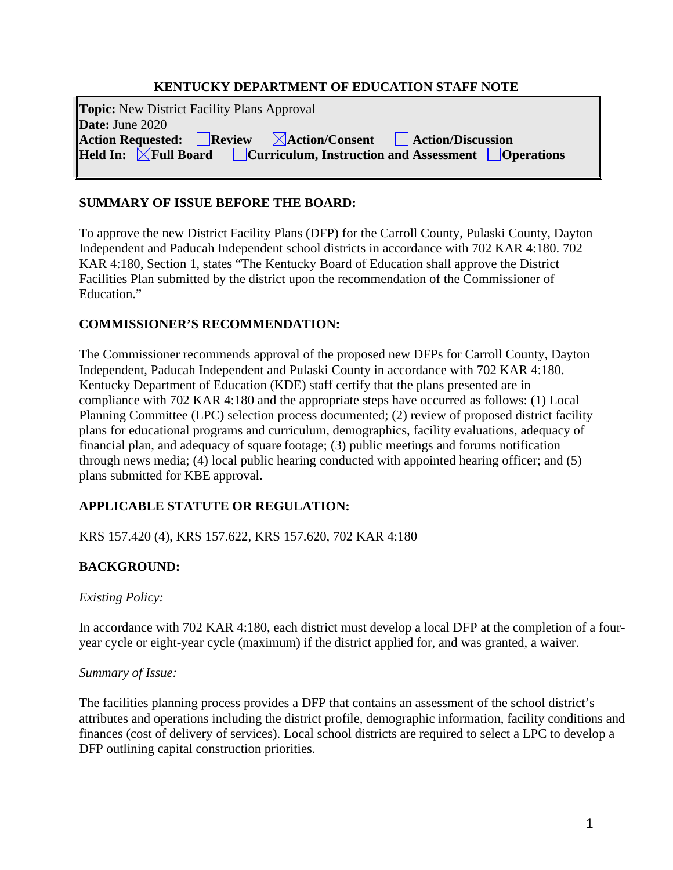### **KENTUCKY DEPARTMENT OF EDUCATION STAFF NOTE**

| <b>Topic:</b> New District Facility Plans Approval<br>Date: June $2020$                                                                                |  |
|--------------------------------------------------------------------------------------------------------------------------------------------------------|--|
| <b>Action Requested:</b> Review <b>Action/Consent</b> Action/Discussion                                                                                |  |
| <b>Held In:</b> $\boxed{\boxtimes}$ Full Board $\boxed{\phantom{\times}}$ Curriculum, Instruction and Assessment $\boxed{\phantom{\times}}$ Operations |  |

### **SUMMARY OF ISSUE BEFORE THE BOARD:**

To approve the new District Facility Plans (DFP) for the Carroll County, Pulaski County, Dayton Independent and Paducah Independent school districts in accordance with 702 KAR 4:180. 702 KAR 4:180, Section 1, states "The Kentucky Board of Education shall approve the District Facilities Plan submitted by the district upon the recommendation of the Commissioner of Education."

### **COMMISSIONER'S RECOMMENDATION:**

The Commissioner recommends approval of the proposed new DFPs for Carroll County, Dayton Independent, Paducah Independent and Pulaski County in accordance with 702 KAR 4:180. Kentucky Department of Education (KDE) staff certify that the plans presented are in compliance with 702 KAR 4:180 and the appropriate steps have occurred as follows: (1) Local Planning Committee (LPC) selection process documented; (2) review of proposed district facility plans for educational programs and curriculum, demographics, facility evaluations, adequacy of financial plan, and adequacy of square footage; (3) public meetings and forums notification through news media; (4) local public hearing conducted with appointed hearing officer; and (5) plans submitted for KBE approval.

# **APPLICABLE STATUTE OR REGULATION:**

KRS 157.420 (4), KRS 157.622, KRS 157.620, 702 KAR 4:180

# **BACKGROUND:**

#### *Existing Policy:*

In accordance with 702 KAR 4:180, each district must develop a local DFP at the completion of a fouryear cycle or eight-year cycle (maximum) if the district applied for, and was granted, a waiver.

#### *Summary of Issue:*

The facilities planning process provides a DFP that contains an assessment of the school district's attributes and operations including the district profile, demographic information, facility conditions and finances (cost of delivery of services). Local school districts are required to select a LPC to develop a DFP outlining capital construction priorities.